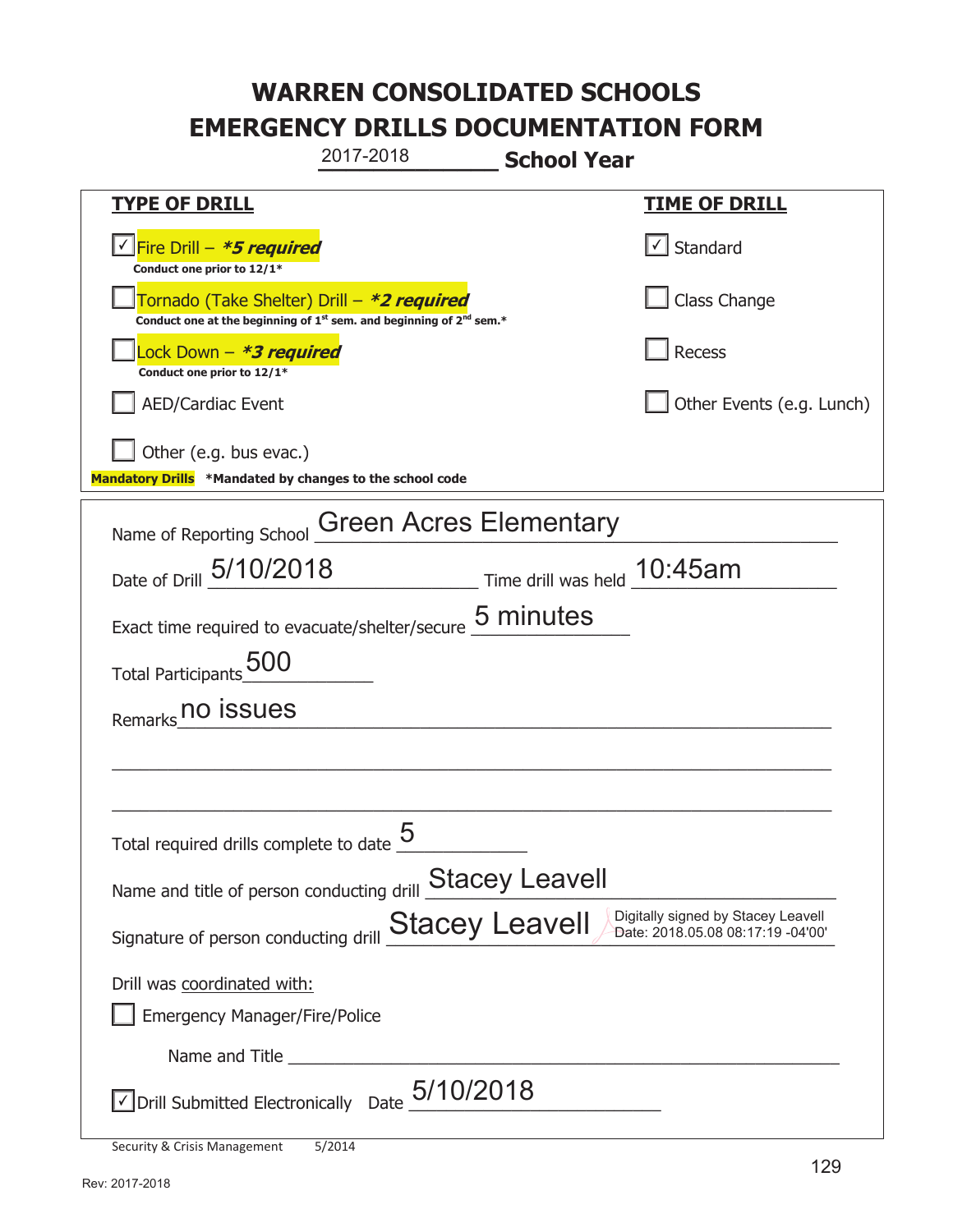**\_\_\_\_\_\_\_\_\_\_\_\_\_ School Year TYPE OF DRILL TIME OF DRILL**  <mark>▽ Fire Drill – *\*5 required* マイクレス マイクレス マイクレス マイクレス マイクレス マイクレス マイクレス マイクレス しゃく</mark> **Conduct one prior to 12/1\***   $\boxed{\sqrt}$  Standard 侊Tornado (Take Shelter) Drill – **\*2 required** Conduct one at the beginning of 1<sup>st</sup> sem. and beginning of 2<sup>nd</sup> sem.\* Class Change 侊Lock Down – **\*3 required Conduct one prior to 12/1\* Recess** AED/Cardiac Event **AED/Cardiac Event Network Network Network Network Network Network Network Network Network Network Network Network Network Network Network Network Network Network Net** Other (e.g. bus evac.) **Mandatory Drills \*Mandated by changes to the school code**  Name of Reporting School Green Acres Elementary Date of Drill  $\frac{5/10/2018}{2}$  Time drill was held  $\frac{10:45am}{2}$ Exact time required to evacuate/shelter/secure  $\frac{5 \text{ minutes}}{2}$ Total Participants\_500\_\_\_\_\_\_\_\_\_\_ Remarks\_000 issues  $\_$  , and the set of the set of the set of the set of the set of the set of the set of the set of the set of the set of the set of the set of the set of the set of the set of the set of the set of the set of the set of th \_\_\_\_\_\_\_\_\_\_\_\_\_\_\_\_\_\_\_\_\_\_\_\_\_\_\_\_\_\_\_\_\_\_\_\_\_\_\_\_\_\_\_\_\_\_\_\_\_\_\_\_\_\_\_\_\_\_\_\_\_\_\_\_\_\_\_\_\_\_\_\_\_\_\_\_\_ Total required drills complete to date  $5$  \_\_\_\_\_\_\_\_\_\_\_\_ Name and title of person conducting drill **Stacey Leavell** Signature of person conducting drill  $\frac{\text{Stacey}}{\text{Leavel}}$   $\frac{\text{Digitally signed by Stacey}}{\text{Date: } 2018.05.08.08:17:19 -04'00'}}$ Drill was coordinated with: ܆ Emergency Manager/Fire/Police Name and Title **Latter and Structure**  $\triangledown$  Drill Submitted Electronically Date  $5/10/2018$ 2017-2018 Date: 2018.05.08 08:17:19 -04'00'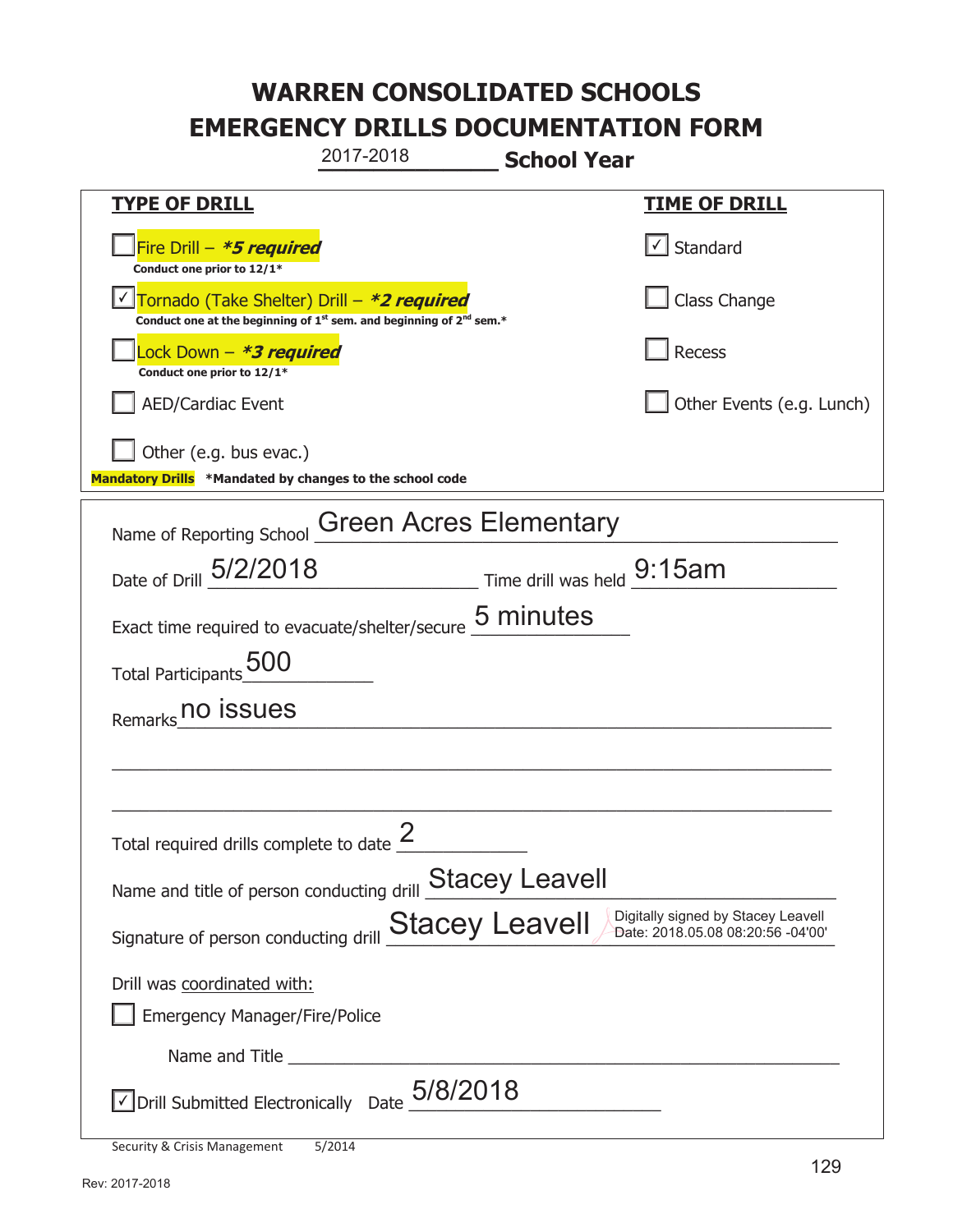**\_\_\_\_\_\_\_\_\_\_\_\_\_ School Year TYPE OF DRILL TIME OF DRILL**  侊Fire Drill – **\*5 required Conduct one prior to 12/1\***   $\boxed{\checkmark}$  Standard 侊Tornado (Take Shelter) Drill – **\*2 required** ✔ **Conduct one at the beginning of 1<sup>st</sup> sem. and beginning of 2<sup>nd</sup> sem.\*** Class Change 侊Lock Down – **\*3 required Conduct one prior to 12/1\* Recess** AED/Cardiac Event **AED/Cardiac Event Network Network Network Network Network Network Network Network Network Network Network Network Network Network Network Network Network Network Net** Other (e.g. bus evac.) **Mandatory Drills \*Mandated by changes to the school code**  Name of Reporting School Green Acres Elementary Date of Drill  $\frac{5/2/2018}{2}$  Time drill was held  $\frac{9:15am}{2}$ Exact time required to evacuate/shelter/secure  $\frac{5 \text{ minutes}}{2}$ Total Participants\_500\_\_\_\_\_\_\_\_\_\_ Remarks\_000 issues  $\_$  , and the set of the set of the set of the set of the set of the set of the set of the set of the set of the set of the set of the set of the set of the set of the set of the set of the set of the set of the set of th \_\_\_\_\_\_\_\_\_\_\_\_\_\_\_\_\_\_\_\_\_\_\_\_\_\_\_\_\_\_\_\_\_\_\_\_\_\_\_\_\_\_\_\_\_\_\_\_\_\_\_\_\_\_\_\_\_\_\_\_\_\_\_\_\_\_\_\_\_\_\_\_\_\_\_\_\_ Total required drills complete to date  $\frac{2}{\sqrt{2}}$ Name and title of person conducting drill **Stacey Leavell** Signature of person conducting drill  $\frac{\text{Stacey}}{\text{Leavel}}$   $\frac{\text{Digitally signed by Stacey Leavell}}{\text{Date: } 2018.05.08.08:20:56 - 04'00'}}$ Drill was coordinated with: ܆ Emergency Manager/Fire/Police Name and Title  $\sqrt{2}$  Drill Submitted Electronically Date  $\frac{5/8/2018}{2}$ 2017-2018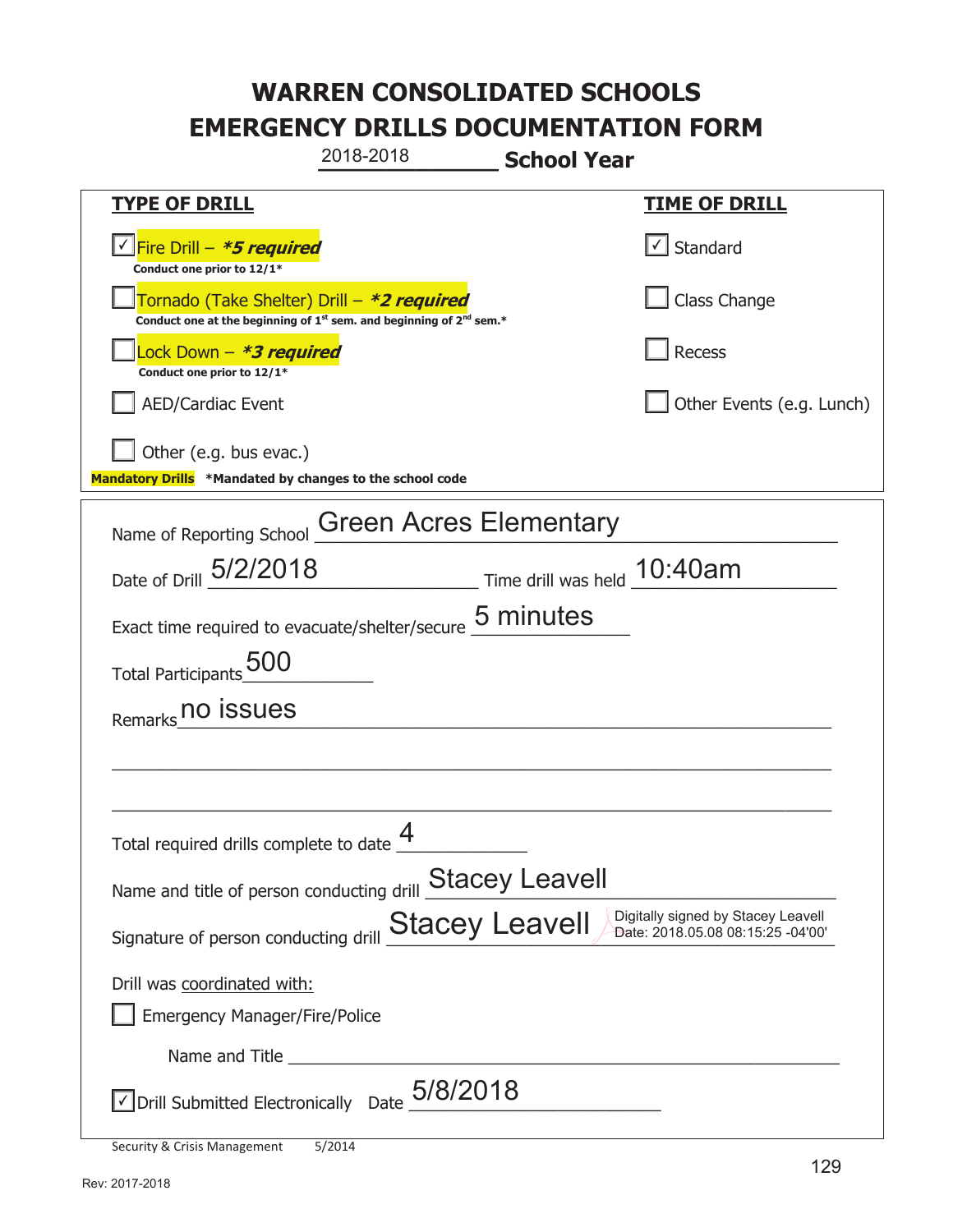|                                                                                                                                          | 2018-2018                                                                                   | <b>School Year</b>          |                           |
|------------------------------------------------------------------------------------------------------------------------------------------|---------------------------------------------------------------------------------------------|-----------------------------|---------------------------|
| <b>TYPE OF DRILL</b>                                                                                                                     |                                                                                             |                             | <u>TIME OF DRILL</u>      |
| V Fire Drill - *5 required<br>Conduct one prior to 12/1*                                                                                 |                                                                                             |                             | √ Standard                |
| Tornado (Take Shelter) Drill – *2 required                                                                                               | Conduct one at the beginning of 1 <sup>st</sup> sem. and beginning of 2 <sup>nd</sup> sem.* |                             | Class Change              |
| Lock Down - <b>*3 required</b><br>Conduct one prior to 12/1*                                                                             |                                                                                             |                             | Recess                    |
| <b>AED/Cardiac Event</b>                                                                                                                 |                                                                                             |                             | Other Events (e.g. Lunch) |
| Other (e.g. bus evac.)<br>Mandatory Drills *Mandated by changes to the school code                                                       |                                                                                             |                             |                           |
|                                                                                                                                          |                                                                                             |                             |                           |
| Name of Reporting School                                                                                                                 | <b>Green Acres Elementary</b>                                                               |                             |                           |
| Date of Drill 5/2/2018                                                                                                                   |                                                                                             | Time drill was held 10:40am |                           |
| Exact time required to evacuate/shelter/secure 5 minutes                                                                                 |                                                                                             |                             |                           |
| <b>500</b><br><b>Total Participants</b>                                                                                                  |                                                                                             |                             |                           |
| Remarks no issues                                                                                                                        |                                                                                             |                             |                           |
|                                                                                                                                          |                                                                                             |                             |                           |
|                                                                                                                                          |                                                                                             |                             |                           |
| Total required drills complete to date $\mathbf{\mathring{+}}$                                                                           |                                                                                             |                             |                           |
| <b>Stacey Leavell</b><br>Name and title of person conducting drill                                                                       |                                                                                             |                             |                           |
| Digitally signed by Stacey Leavell<br><b>Stacey Leavell</b><br>Date: 2018.05.08 08:15:25 -04'00'<br>Signature of person conducting drill |                                                                                             |                             |                           |
| Drill was coordinated with:                                                                                                              |                                                                                             |                             |                           |
| <b>Emergency Manager/Fire/Police</b>                                                                                                     |                                                                                             |                             |                           |
|                                                                                                                                          |                                                                                             |                             |                           |
| $\vee$ Drill Submitted Electronically Date $_05/8/2018$                                                                                  |                                                                                             |                             |                           |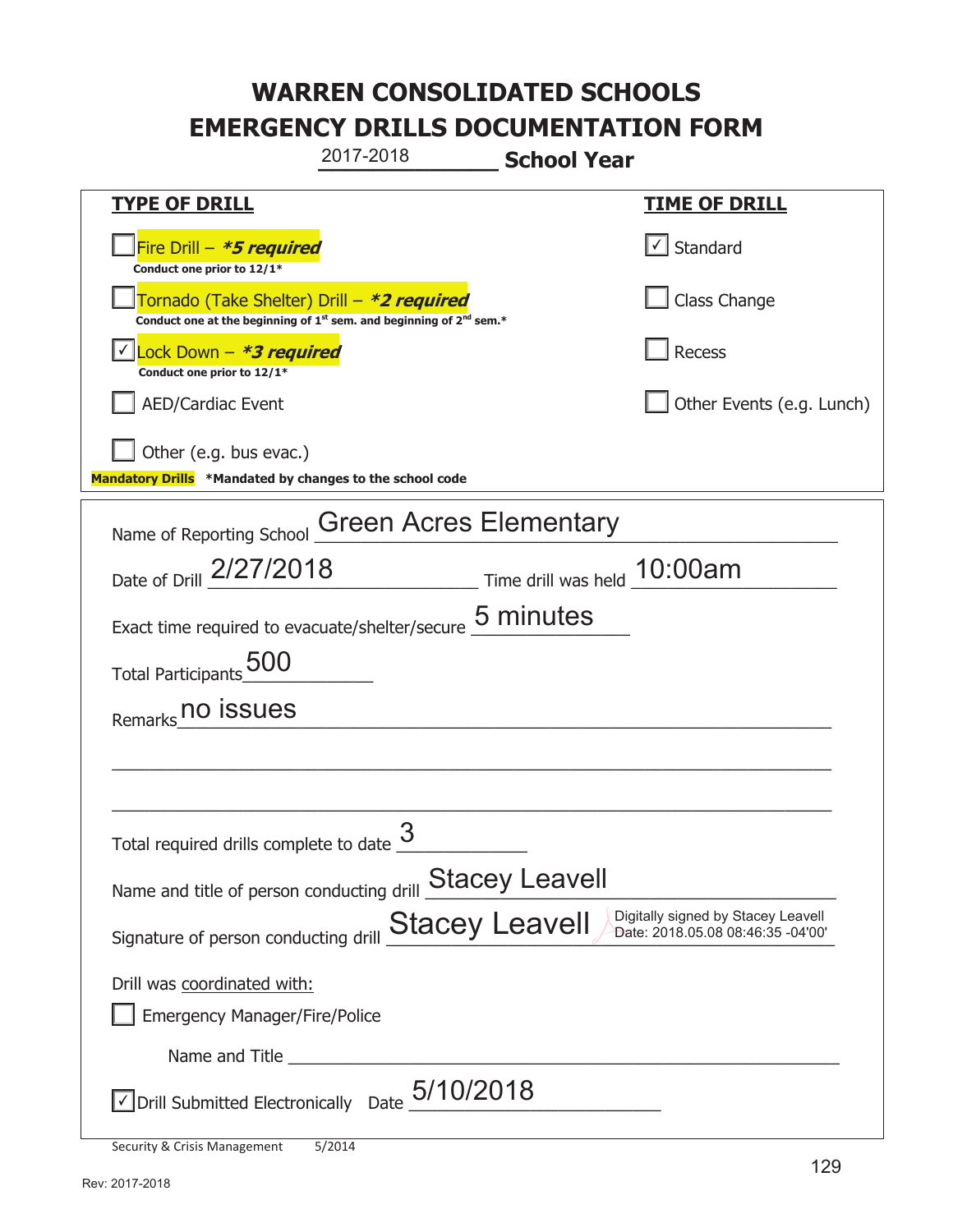**\_\_\_\_\_\_\_\_\_\_\_\_\_ School Year TYPE OF DRILL TIME OF DRILL**  侊Fire Drill – **\*5 required Conduct one prior to 12/1\***   $\boxed{\checkmark}$  Standard 侊Tornado (Take Shelter) Drill – **\*2 required Conduct one at the beginning of 1<sup>st</sup> sem. and beginning of 2<sup>nd</sup> sem.\*** Class Change 侊Lock Down – **\*3 required** ✔ **Conduct one prior to 12/1\* Recess** AED/Cardiac Event **AED/Cardiac Event Network Network Network Network Network Network Network Network Network Network Network Network Network Network Network Network Network Network Net** Other (e.g. bus evac.) **Mandatory Drills \*Mandated by changes to the school code**  Name of Reporting School Green Acres Elementary Date of Drill  $\frac{2/27/2018}{2}$  Time drill was held  $\frac{10:00am}{2}$ Exact time required to evacuate/shelter/secure  $\frac{5 \text{ minutes}}{2}$ Total Participants\_500\_\_\_\_\_\_\_\_\_\_ Remarks\_no issues<br>Remarks\_no issues  $\_$  , and the set of the set of the set of the set of the set of the set of the set of the set of the set of the set of the set of the set of the set of the set of the set of the set of the set of the set of the set of th  $\_$  , and the set of the set of the set of the set of the set of the set of the set of the set of the set of the set of the set of the set of the set of the set of the set of the set of the set of the set of the set of th Total required drills complete to date  $\frac{3}{2}$ Name and title of person conducting drill **Stacey Leavell** Signature of person conducting drill  $\frac{\text{Stacey}}{\text{Leavel}}$   $\frac{\text{Digitally signed by Stacey}}{\text{Date: } 2018.05.0808.46:35-04'00'}}$ Drill was coordinated with: ܆ Emergency Manager/Fire/Police Name and Title **Latter and Structure**  $\triangledown$  Drill Submitted Electronically Date  $5/10/2018$ 2017-2018 Date: 2018.05.08 08:46:35 -04'00'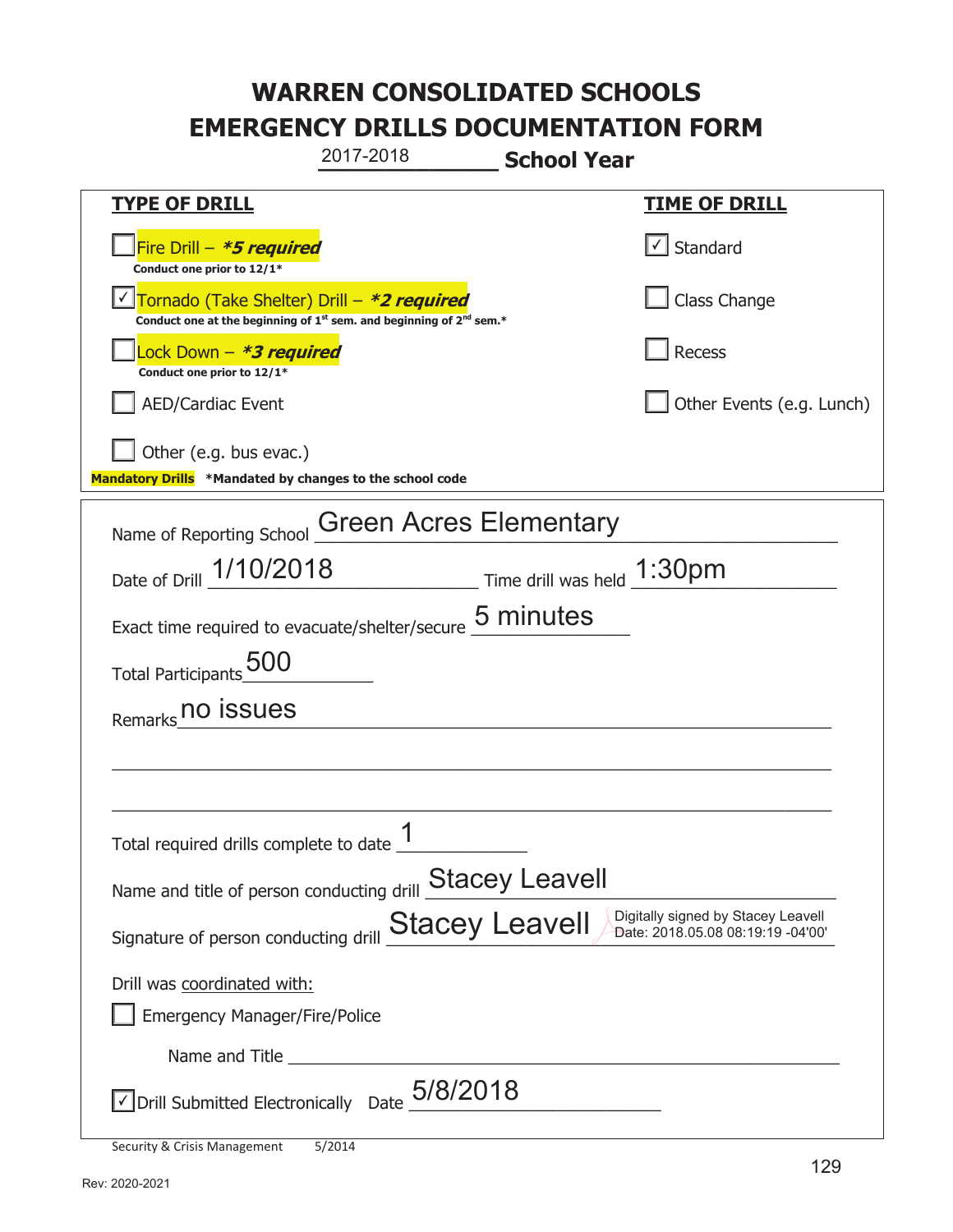**\_\_\_\_\_\_\_\_\_\_\_\_\_ School Year TYPE OF DRILL TIME OF DRILL**  侊Fire Drill – **\*5 required Conduct one prior to 12/1\***   $\boxed{\checkmark}$  Standard 侊Tornado (Take Shelter) Drill – **\*2 required** ✔ **Conduct one at the beginning of 1<sup>st</sup> sem. and beginning of 2<sup>nd</sup> sem.\*** Class Change 侊Lock Down – **\*3 required Conduct one prior to 12/1\* Recess** AED/Cardiac Event **AED/Cardiac Event Network Network Network Network Network Network Network Network Network Network Network Network Network Network Network Network Network Network Net** Other (e.g. bus evac.) **Mandatory Drills \*Mandated by changes to the school code**  Name of Reporting School Green Acres Elementary Date of Drill  $\frac{1/10/2018}{2}$  Time drill was held  $\frac{1:30 \text{pm}}{2}$ Exact time required to evacuate/shelter/secure  $\frac{5 \text{ minutes}}{2}$ Total Participants\_500\_\_\_\_\_\_\_\_\_\_ Remarks\_no issues<br>Remarks\_no issues  $\_$  , and the set of the set of the set of the set of the set of the set of the set of the set of the set of the set of the set of the set of the set of the set of the set of the set of the set of the set of the set of th  $\_$  , and the set of the set of the set of the set of the set of the set of the set of the set of the set of the set of the set of the set of the set of the set of the set of the set of the set of the set of the set of th Total required drills complete to date  $\frac{1}{\sqrt{1-\frac{1}{2}}\cdot\frac{1}{\sqrt{1-\frac{1}{2}}\cdot\frac{1}{\sqrt{1-\frac{1}{2}}\cdot\frac{1}{\sqrt{1-\frac{1}{2}}\cdot\frac{1}{\sqrt{1-\frac{1}{2}}\cdot\frac{1}{\sqrt{1-\frac{1}{2}}\cdot\frac{1}{\sqrt{1-\frac{1}{2}}\cdot\frac{1}{\sqrt{1-\frac{1}{2}}\cdot\frac{1}{\sqrt{1-\frac{1}{2}}\cdot\frac{1}{\sqrt{1-\frac{1}{2}}\cdot\$ Name and title of person conducting drill **Stacey Leavell** Signature of person conducting drill  $\frac{\text{Stacey}}{\text{Leavel}}$   $\frac{\text{Digitally signed by Stacey}}{\text{Date: } 2018.05.08.08:19:19-04'00'}}$ Drill was coordinated with: ܆ Emergency Manager/Fire/Police Name and Title  $\sqrt{2}$  Drill Submitted Electronically Date  $\frac{5/8/2018}{2}$ 2017-2018 Date: 2018.05.08 08:19:19 -04'00'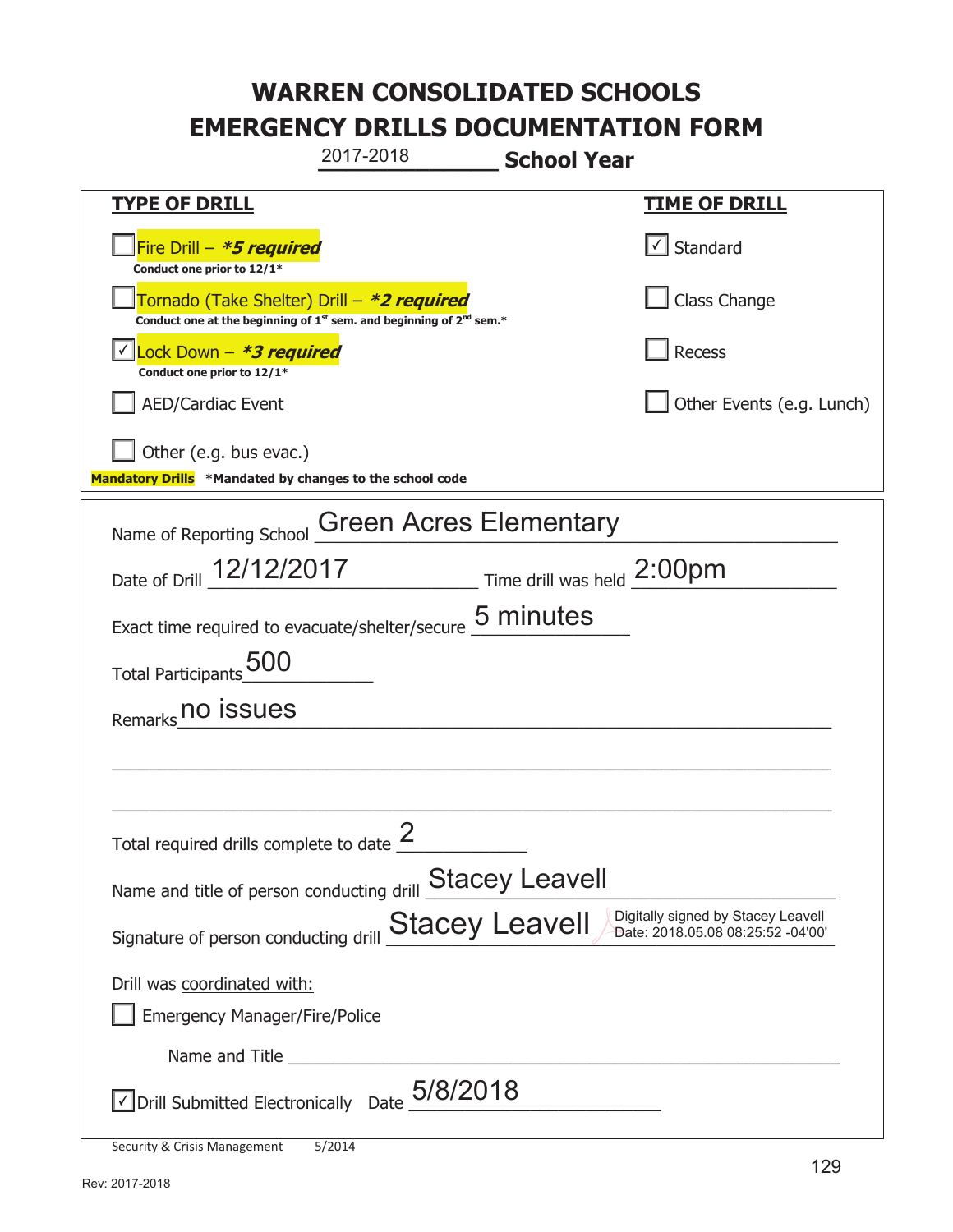**\_\_\_\_\_\_\_\_\_\_\_\_\_ School Year TYPE OF DRILL TIME OF DRILL**  侊Fire Drill – **\*5 required Conduct one prior to 12/1\***   $\boxed{\checkmark}$  Standard 侊Tornado (Take Shelter) Drill – **\*2 required Conduct one at the beginning of 1<sup>st</sup> sem. and beginning of 2<sup>nd</sup> sem.\*** Class Change 侊Lock Down – **\*3 required** ✔ **Conduct one prior to 12/1\* Recess** AED/Cardiac Event **AED/Cardiac Event Network Network Network Network Network Network Network Network Network Network Network Network Network Network Network Network Network Network Net** Other (e.g. bus evac.) **Mandatory Drills \*Mandated by changes to the school code**  Name of Reporting School Green Acres Elementary Date of Drill  $\frac{12/12/2017}{2}$  Time drill was held  $\frac{2:00 \text{pm}}{2}$ Exact time required to evacuate/shelter/secure  $\frac{5 \text{ minutes}}{2}$ Total Participants\_500\_\_\_\_\_\_\_\_\_\_ Remarks\_no issues<br>Remarks\_no issues  $\_$  , and the set of the set of the set of the set of the set of the set of the set of the set of the set of the set of the set of the set of the set of the set of the set of the set of the set of the set of the set of th  $\_$  , and the set of the set of the set of the set of the set of the set of the set of the set of the set of the set of the set of the set of the set of the set of the set of the set of the set of the set of the set of th Total required drills complete to date  $\frac{2}{\sqrt{2}}$ Name and title of person conducting drill **Stacey Leavell** Signature of person conducting drill  $\frac{\text{Stacey}}{\text{Leavel}}$   $\frac{\text{Digitally signed by Stacey}}{\text{Date: } 2018.05.0808:25:52-04'00'}}$ Drill was coordinated with: ܆ Emergency Manager/Fire/Police Name and Title **Latter and Structure**  $\sqrt{2}$  Drill Submitted Electronically Date  $\frac{5/8/2018}{2}$ 2017-2018 Date: 2018.05.08 08:25:52 -04'00'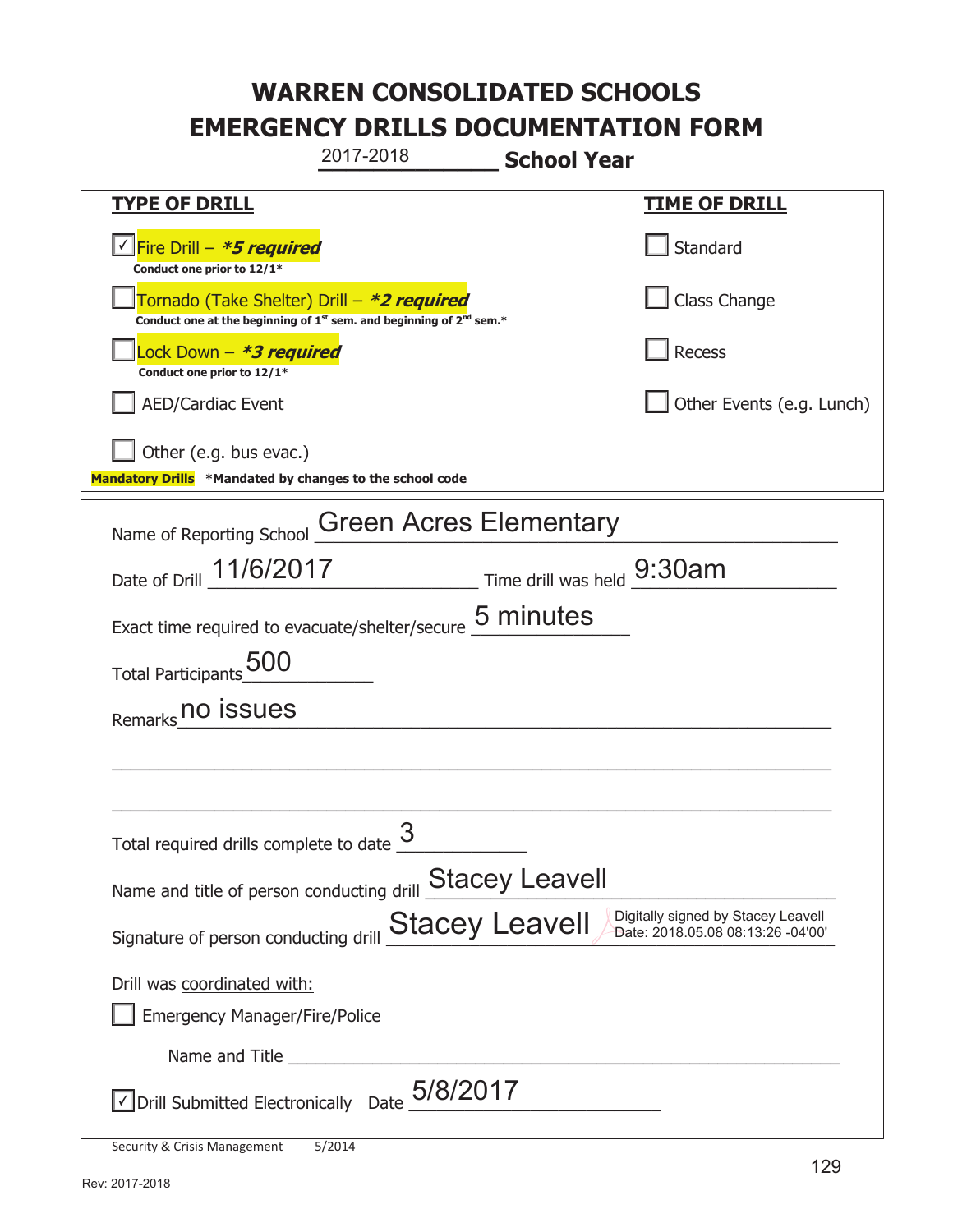**\_\_\_\_\_\_\_\_\_\_\_\_\_ School Year TYPE OF DRILL TIME OF DRILL**  侊Fire Drill – **\*5 required** ✔ **Conduct one prior to 12/1\* Standard** 侊Tornado (Take Shelter) Drill – **\*2 required Conduct one at the beginning of 1<sup>st</sup> sem. and beginning of 2<sup>nd</sup> sem.\*** Class Change 侊Lock Down – **\*3 required Conduct one prior to 12/1\* Recess** AED/Cardiac Event **AED/Cardiac Event Network Network Network Network Network Network Network Network Network Network Network Network Network Network Network Network Network Network Net** Other (e.g. bus evac.) **Mandatory Drills \*Mandated by changes to the school code**  Name of Reporting School Green Acres Elementary Date of Drill  $\frac{11/6/2017}{2}$  Time drill was held  $\frac{9:30am}{2}$ Exact time required to evacuate/shelter/secure  $\frac{5 \text{ minutes}}{2}$ Total Participants\_500\_\_\_\_\_\_\_\_\_\_ Remarks\_no issues<br>Remarks\_no issues  $\_$  , and the set of the set of the set of the set of the set of the set of the set of the set of the set of the set of the set of the set of the set of the set of the set of the set of the set of the set of the set of th  $\_$  , and the set of the set of the set of the set of the set of the set of the set of the set of the set of the set of the set of the set of the set of the set of the set of the set of the set of the set of the set of th Total required drills complete to date  $\frac{3}{2}$ Name and title of person conducting drill **Stacey Leavell** Signature of person conducting drill  $\frac{\text{Stacey}}{\text{Leavel}}$   $\frac{\text{Digitally signed by Stacey}}{\text{Date: } 2018.05.08.08:13:26 - 04'00'}}$ 2017-2018 Date: 2018.05.08 08:13:26 -04'00'

Drill was coordinated with:

܆ Emergency Manager/Fire/Police

Name and Title

 $\sqrt{2}$  Drill Submitted Electronically Date  $\frac{5/8/2017}{2}$ 

Security & Crisis Management 5/2014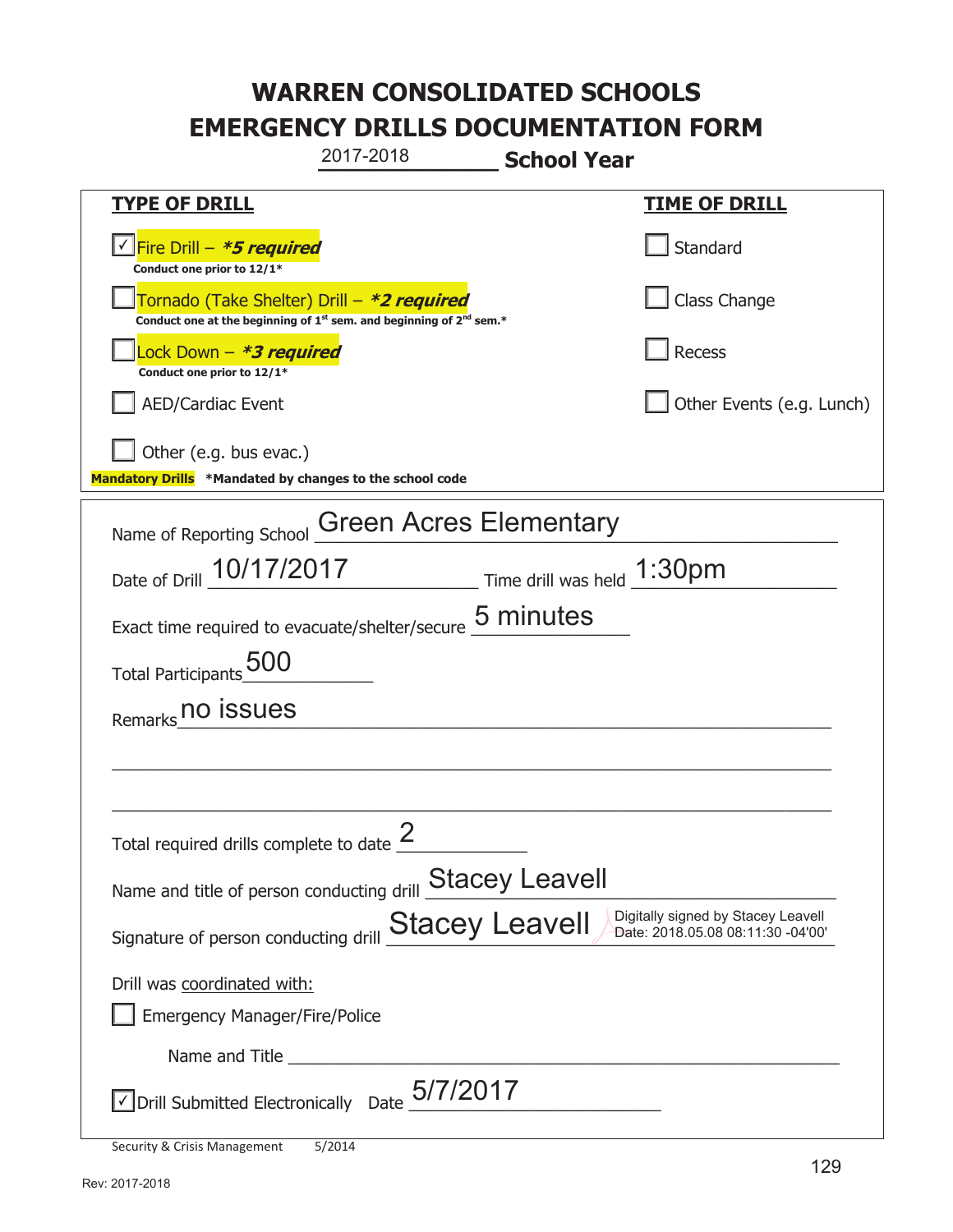**\_\_\_\_\_\_\_\_\_\_\_\_\_ School Year TYPE OF DRILL TIME OF DRILL**  侊Fire Drill – **\*5 required** ✔ **Conduct one prior to 12/1\* Standard** 侊Tornado (Take Shelter) Drill – **\*2 required Conduct one at the beginning of 1<sup>st</sup> sem. and beginning of 2<sup>nd</sup> sem.\*** Class Change 侊Lock Down – **\*3 required Conduct one prior to 12/1\* Recess** AED/Cardiac Event **AED/Cardiac Event Network Network Network Network Network Network Network Network Network Network Network Network Network Network Network Network Network Network Net** Other (e.g. bus evac.) **Mandatory Drills \*Mandated by changes to the school code**  Name of Reporting School Green Acres Elementary Date of Drill  $\frac{10/17/2017}{200}$  Time drill was held  $\frac{1:30 \text{pm}}{200}$ Exact time required to evacuate/shelter/secure  $\frac{5 \text{ minutes}}{2}$ Total Participants\_500\_\_\_\_\_\_\_\_\_\_ Remarks\_no issues<br>Remarks\_no issues  $\_$  , and the set of the set of the set of the set of the set of the set of the set of the set of the set of the set of the set of the set of the set of the set of the set of the set of the set of the set of the set of th  $\_$  , and the set of the set of the set of the set of the set of the set of the set of the set of the set of the set of the set of the set of the set of the set of the set of the set of the set of the set of the set of th Total required drills complete to date  $\frac{2}{\sqrt{2}}$ Name and title of person conducting drill **Stacey Leavell** Signature of person conducting drill  $\frac{\text{Stacey}}{\text{Leavel}}$   $\frac{\text{Digitally signed by Stacey}}{\text{Date: } 2018.05.08.08:11:30 - 04'00'}}$ Drill was coordinated with: ܆ Emergency Manager/Fire/Police Name and Title **Latter and Structure**  $\sqrt{2}$  Drill Submitted Electronically Date  $\frac{5/7/2017}{2}$ 2017-2018 Date: 2018.05.08 08:11:30 -04'00'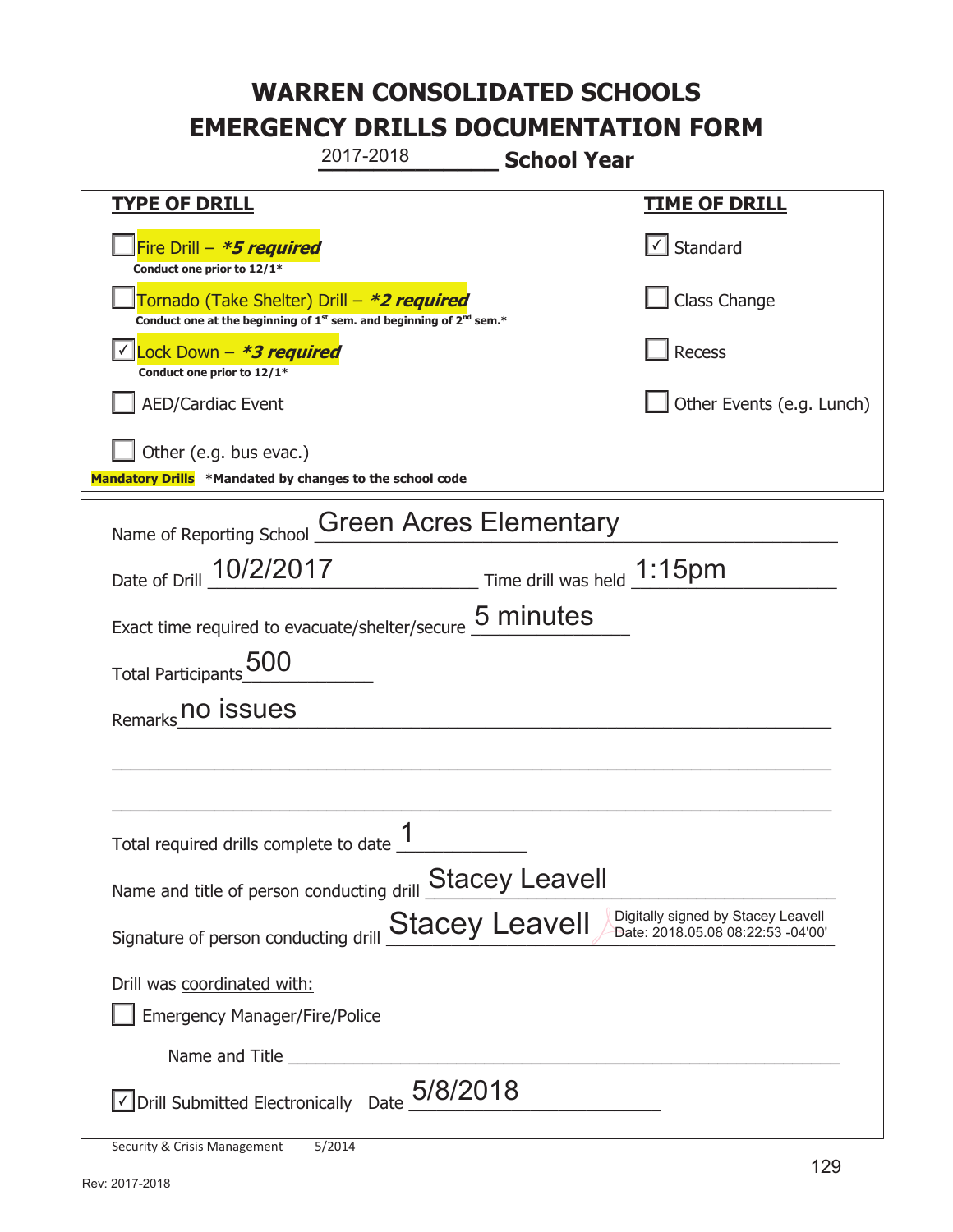**\_\_\_\_\_\_\_\_\_\_\_\_\_ School Year TYPE OF DRILL TIME OF DRILL**  侊Fire Drill – **\*5 required Conduct one prior to 12/1\***   $\boxed{\checkmark}$  Standard 侊Tornado (Take Shelter) Drill – **\*2 required Conduct one at the beginning of 1<sup>st</sup> sem. and beginning of 2<sup>nd</sup> sem.\*** Class Change 侊Lock Down – **\*3 required** ✔ **Conduct one prior to 12/1\* Recess** AED/Cardiac Event **AED/Cardiac Event Network Network Network Network Network Network Network Network Network Network Network Network Network Network Network Network Network Network Net** Other (e.g. bus evac.) **Mandatory Drills \*Mandated by changes to the school code**  Name of Reporting School Green Acres Elementary Date of Drill  $\frac{10/2/2017}{2}$  Time drill was held  $\frac{1:15pm}{2}$ Exact time required to evacuate/shelter/secure  $\frac{5 \text{ minutes}}{2}$ Total Participants\_500\_\_\_\_\_\_\_\_\_\_ Remarks\_no issues<br>Remarks\_no issues  $\_$  , and the set of the set of the set of the set of the set of the set of the set of the set of the set of the set of the set of the set of the set of the set of the set of the set of the set of the set of the set of th  $\_$  , and the set of the set of the set of the set of the set of the set of the set of the set of the set of the set of the set of the set of the set of the set of the set of the set of the set of the set of the set of th Total required drills complete to date  $\frac{1}{\sqrt{1-\frac{1}{2}}\cdot\frac{1}{\sqrt{1-\frac{1}{2}}\cdot\frac{1}{\sqrt{1-\frac{1}{2}}\cdot\frac{1}{\sqrt{1-\frac{1}{2}}\cdot\frac{1}{\sqrt{1-\frac{1}{2}}\cdot\frac{1}{\sqrt{1-\frac{1}{2}}\cdot\frac{1}{\sqrt{1-\frac{1}{2}}\cdot\frac{1}{\sqrt{1-\frac{1}{2}}\cdot\frac{1}{\sqrt{1-\frac{1}{2}}\cdot\frac{1}{\sqrt{1-\frac{1}{2}}\cdot\$ Name and title of person conducting drill **Stacey Leavell** Signature of person conducting drill  $\frac{\text{Stacey}}{\text{Leavel}}$   $\frac{\text{Digitally signed by Stacey}}{\text{Date: } 2018.05.0808:22:53 -04'00'}}$ Drill was coordinated with: ܆ Emergency Manager/Fire/Police Name and Title  $\sqrt{2}$  Drill Submitted Electronically Date  $\frac{5/8/2018}{2}$ 2017-2018 Date: 2018.05.08 08:22:53 -04'00'